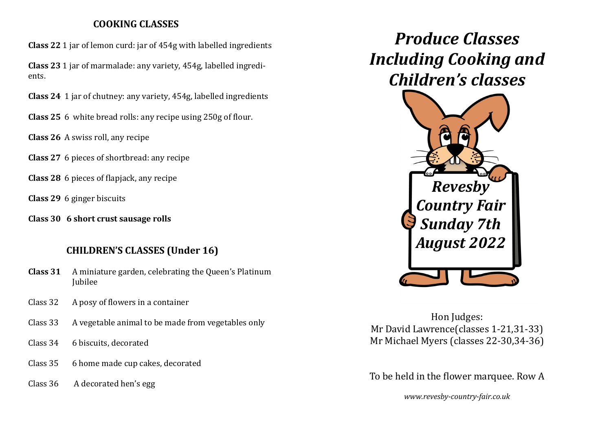## **COOKING CLASSES**

**Class 22** 1 jar of lemon curd: jar of 454g with labelled ingredients

**Class 23** 1 jar of marmalade: any variety, 454g, labelled ingredients.

**Class 24** 1 jar of chutney: any variety, 454g, labelled ingredients

**Class 25** 6 white bread rolls: any recipe using 250g of flour.

**Class 26** A swiss roll, any recipe

**Class 27** 6 pieces of shortbread: any recipe

**Class 28** 6 pieces of flapjack, any recipe

**Class 29** 6 ginger biscuits

**Class 30 6 short crust sausage rolls**

# **CHILDREN'S CLASSES (Under 16)**

- **Class 31** A miniature garden, celebrating the Queen's Platinum Jubilee
- Class 32 A posy of flowers in a container
- Class 33 A vegetable animal to be made from vegetables only
- Class 34 6 biscuits, decorated
- Class 35 6 home made cup cakes, decorated
- Class 36 A decorated hen's egg

*Produce Classes Including Cooking and Children's classes*



Hon Judges: Mr David Lawrence(classes 1-21,31-33) Mr Michael Myers (classes 22-30,34-36)

To be held in the flower marquee. Row A

*www.revesby-country-fair.co.uk*